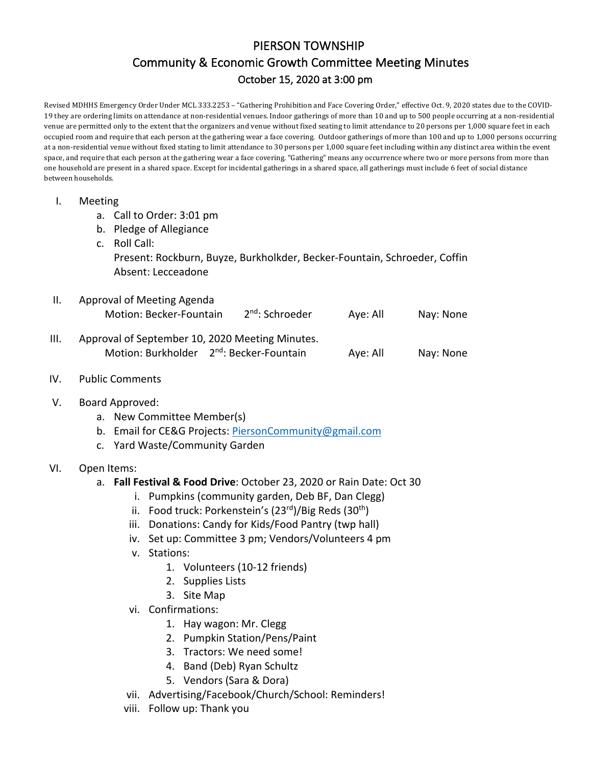# PIERSON TOWNSHIP Community & Economic Growth Committee Meeting Minutes October 15, 2020 at 3:00 pm

Revised MDHHS Emergency Order Under MCL 333.2253 - "Gathering Prohibition and Face Covering Order," effective Oct. 9, 2020 states due to the COVID-19 they are ordering limits on attendance at non-residential venues. Indoor gatherings of more than 10 and up to 500 people occurring at a non-residential venue are permitted only to the extent that the organizers and venue without fixed seating to limit attendance to 20 persons per 1,000 square feet in each occupied room and require that each person at the gathering wear a face covering. Outdoor gatherings of more than 100 and up to 1,000 persons occurring at a non-residential venue without fixed stating to limit attendance to 30 persons per 1,000 square feet including within any distinct area within the event space, and require that each person at the gathering wear a face covering. "Gathering" means any occurrence where two or more persons from more than one household are present in a shared space. Except for incidental gatherings in a shared space, all gatherings must include 6 feet of social distance between households.

| $\mathbf{I}$ . | Meeting                                                               |                                                                        |  |                                                          |          |           |  |  |  |  |                    |  |                                                                           |  |  |
|----------------|-----------------------------------------------------------------------|------------------------------------------------------------------------|--|----------------------------------------------------------|----------|-----------|--|--|--|--|--------------------|--|---------------------------------------------------------------------------|--|--|
|                | a. Call to Order: 3:01 pm<br>b. Pledge of Allegiance<br>c. Roll Call: |                                                                        |  |                                                          |          |           |  |  |  |  |                    |  |                                                                           |  |  |
|                |                                                                       |                                                                        |  |                                                          |          |           |  |  |  |  |                    |  | Present: Rockburn, Buyze, Burkholkder, Becker-Fountain, Schroeder, Coffin |  |  |
|                |                                                                       |                                                                        |  |                                                          |          |           |  |  |  |  | Absent: Lecceadone |  |                                                                           |  |  |
| II.            | Approval of Meeting Agenda                                            |                                                                        |  |                                                          |          |           |  |  |  |  |                    |  |                                                                           |  |  |
|                |                                                                       | Motion: Becker-Fountain                                                |  | 2 <sup>nd</sup> : Schroeder                              | Aye: All | Nay: None |  |  |  |  |                    |  |                                                                           |  |  |
| III.           | Approval of September 10, 2020 Meeting Minutes.                       |                                                                        |  |                                                          |          |           |  |  |  |  |                    |  |                                                                           |  |  |
|                |                                                                       |                                                                        |  | Motion: Burkholder 2 <sup>nd</sup> : Becker-Fountain     | Aye: All | Nay: None |  |  |  |  |                    |  |                                                                           |  |  |
| IV.            | <b>Public Comments</b>                                                |                                                                        |  |                                                          |          |           |  |  |  |  |                    |  |                                                                           |  |  |
| V.             | Board Approved:                                                       |                                                                        |  |                                                          |          |           |  |  |  |  |                    |  |                                                                           |  |  |
|                | a. New Committee Member(s)                                            |                                                                        |  |                                                          |          |           |  |  |  |  |                    |  |                                                                           |  |  |
|                | b. Email for CE&G Projects: PiersonCommunity@gmail.com                |                                                                        |  |                                                          |          |           |  |  |  |  |                    |  |                                                                           |  |  |
|                |                                                                       | c. Yard Waste/Community Garden                                         |  |                                                          |          |           |  |  |  |  |                    |  |                                                                           |  |  |
| VI.            | Open Items:                                                           |                                                                        |  |                                                          |          |           |  |  |  |  |                    |  |                                                                           |  |  |
|                | a. Fall Festival & Food Drive: October 23, 2020 or Rain Date: Oct 30  |                                                                        |  |                                                          |          |           |  |  |  |  |                    |  |                                                                           |  |  |
|                |                                                                       | i. Pumpkins (community garden, Deb BF, Dan Clegg)                      |  |                                                          |          |           |  |  |  |  |                    |  |                                                                           |  |  |
|                |                                                                       | ii. Food truck: Porkenstein's (23rd)/Big Reds (30 <sup>th</sup> )      |  |                                                          |          |           |  |  |  |  |                    |  |                                                                           |  |  |
|                |                                                                       | iii. Donations: Candy for Kids/Food Pantry (twp hall)                  |  |                                                          |          |           |  |  |  |  |                    |  |                                                                           |  |  |
|                |                                                                       | iv. Set up: Committee 3 pm; Vendors/Volunteers 4 pm                    |  |                                                          |          |           |  |  |  |  |                    |  |                                                                           |  |  |
|                | Stations:<br>V.                                                       |                                                                        |  |                                                          |          |           |  |  |  |  |                    |  |                                                                           |  |  |
|                |                                                                       |                                                                        |  | 1. Volunteers (10-12 friends)                            |          |           |  |  |  |  |                    |  |                                                                           |  |  |
|                |                                                                       | 2. Supplies Lists                                                      |  |                                                          |          |           |  |  |  |  |                    |  |                                                                           |  |  |
|                |                                                                       | 3. Site Map                                                            |  |                                                          |          |           |  |  |  |  |                    |  |                                                                           |  |  |
|                |                                                                       | vi. Confirmations:<br>1. Hay wagon: Mr. Clegg                          |  |                                                          |          |           |  |  |  |  |                    |  |                                                                           |  |  |
|                |                                                                       |                                                                        |  |                                                          |          |           |  |  |  |  |                    |  |                                                                           |  |  |
|                |                                                                       |                                                                        |  | 2. Pumpkin Station/Pens/Paint<br>Tractors: We need some! |          |           |  |  |  |  |                    |  |                                                                           |  |  |
|                |                                                                       | 3.                                                                     |  |                                                          |          |           |  |  |  |  |                    |  |                                                                           |  |  |
|                |                                                                       | 5.                                                                     |  | 4. Band (Deb) Ryan Schultz<br>Vendors (Sara & Dora)      |          |           |  |  |  |  |                    |  |                                                                           |  |  |
|                | vii.                                                                  |                                                                        |  |                                                          |          |           |  |  |  |  |                    |  |                                                                           |  |  |
|                | viii.                                                                 | Advertising/Facebook/Church/School: Reminders!<br>Follow up: Thank you |  |                                                          |          |           |  |  |  |  |                    |  |                                                                           |  |  |
|                |                                                                       |                                                                        |  |                                                          |          |           |  |  |  |  |                    |  |                                                                           |  |  |